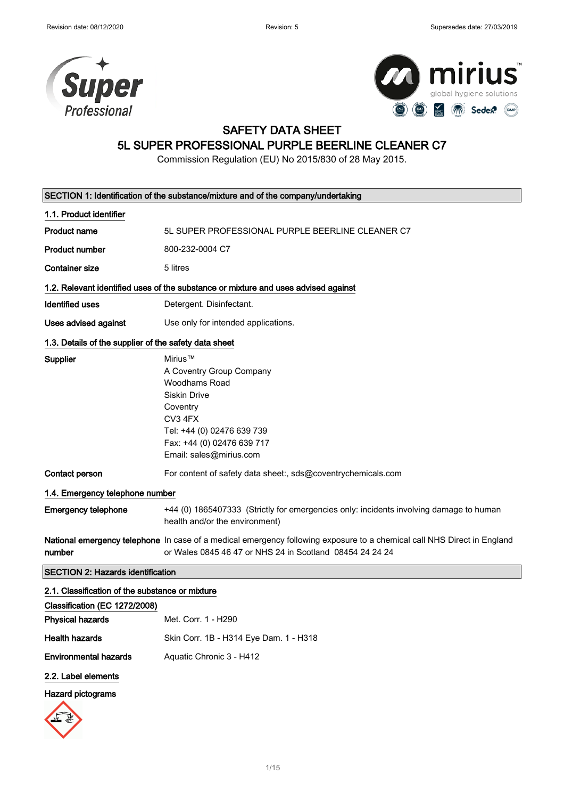



### SAFETY DATA SHEET

### 5L SUPER PROFESSIONAL PURPLE BEERLINE CLEANER C7

Commission Regulation (EU) No 2015/830 of 28 May 2015.

| SECTION 1: Identification of the substance/mixture and of the company/undertaking |                                                                                                                                                                                           |  |
|-----------------------------------------------------------------------------------|-------------------------------------------------------------------------------------------------------------------------------------------------------------------------------------------|--|
| 1.1. Product identifier                                                           |                                                                                                                                                                                           |  |
| <b>Product name</b>                                                               | 5L SUPER PROFESSIONAL PURPLE BEERLINE CLEANER C7                                                                                                                                          |  |
| <b>Product number</b>                                                             | 800-232-0004 C7                                                                                                                                                                           |  |
| <b>Container size</b>                                                             | 5 litres                                                                                                                                                                                  |  |
|                                                                                   | 1.2. Relevant identified uses of the substance or mixture and uses advised against                                                                                                        |  |
| <b>Identified uses</b>                                                            | Detergent. Disinfectant.                                                                                                                                                                  |  |
| <b>Uses advised against</b>                                                       | Use only for intended applications.                                                                                                                                                       |  |
| 1.3. Details of the supplier of the safety data sheet                             |                                                                                                                                                                                           |  |
| <b>Supplier</b>                                                                   | Mirius™<br>A Coventry Group Company<br>Woodhams Road<br><b>Siskin Drive</b><br>Coventry<br>CV3 4FX<br>Tel: +44 (0) 02476 639 739<br>Fax: +44 (0) 02476 639 717<br>Email: sales@mirius.com |  |
| <b>Contact person</b>                                                             | For content of safety data sheet:, sds@coventrychemicals.com                                                                                                                              |  |
| 1.4. Emergency telephone number                                                   |                                                                                                                                                                                           |  |
| <b>Emergency telephone</b>                                                        | +44 (0) 1865407333 (Strictly for emergencies only: incidents involving damage to human<br>health and/or the environment)                                                                  |  |
| number                                                                            | National emergency telephone In case of a medical emergency following exposure to a chemical call NHS Direct in England<br>or Wales 0845 46 47 or NHS 24 in Scotland 08454 24 24 24       |  |
| <b>SECTION 2: Hazards identification</b>                                          |                                                                                                                                                                                           |  |
| 2.1. Classification of the substance or mixture                                   |                                                                                                                                                                                           |  |
| Classification (EC 1272/2008)                                                     |                                                                                                                                                                                           |  |
| <b>Physical hazards</b>                                                           | Met. Corr. 1 - H290                                                                                                                                                                       |  |
| <b>Health hazards</b>                                                             | Skin Corr. 1B - H314 Eye Dam. 1 - H318                                                                                                                                                    |  |
| <b>Environmental hazards</b>                                                      | Aquatic Chronic 3 - H412                                                                                                                                                                  |  |
| 2.2. Label elements                                                               |                                                                                                                                                                                           |  |

### Hazard pictograms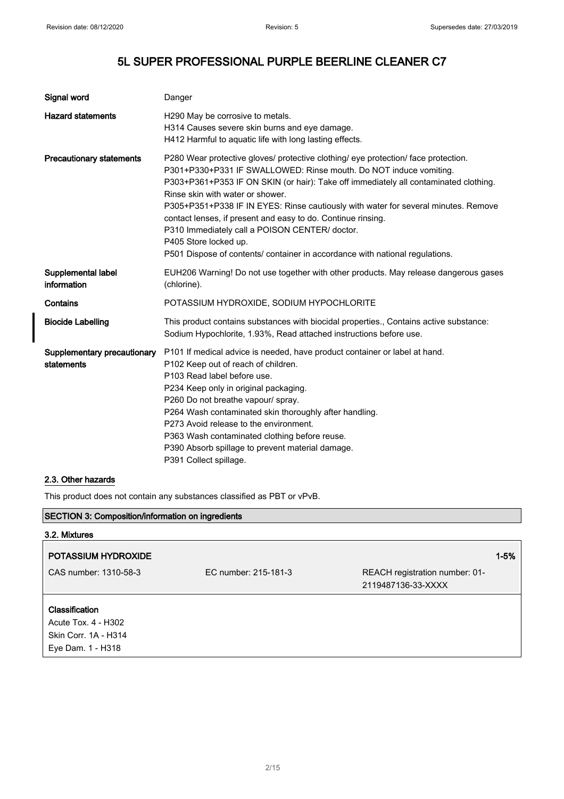| Signal word                               | Danger                                                                                                                                                                                                                                                                                                                                                                                                                                                                                                                                                                                               |
|-------------------------------------------|------------------------------------------------------------------------------------------------------------------------------------------------------------------------------------------------------------------------------------------------------------------------------------------------------------------------------------------------------------------------------------------------------------------------------------------------------------------------------------------------------------------------------------------------------------------------------------------------------|
| <b>Hazard statements</b>                  | H290 May be corrosive to metals.<br>H314 Causes severe skin burns and eye damage.<br>H412 Harmful to aquatic life with long lasting effects.                                                                                                                                                                                                                                                                                                                                                                                                                                                         |
| <b>Precautionary statements</b>           | P280 Wear protective gloves/ protective clothing/ eye protection/ face protection.<br>P301+P330+P331 IF SWALLOWED: Rinse mouth. Do NOT induce vomiting.<br>P303+P361+P353 IF ON SKIN (or hair): Take off immediately all contaminated clothing.<br>Rinse skin with water or shower.<br>P305+P351+P338 IF IN EYES: Rinse cautiously with water for several minutes. Remove<br>contact lenses, if present and easy to do. Continue rinsing.<br>P310 Immediately call a POISON CENTER/ doctor.<br>P405 Store locked up.<br>P501 Dispose of contents/ container in accordance with national regulations. |
| Supplemental label<br>information         | EUH206 Warning! Do not use together with other products. May release dangerous gases<br>(chlorine).                                                                                                                                                                                                                                                                                                                                                                                                                                                                                                  |
| Contains                                  | POTASSIUM HYDROXIDE, SODIUM HYPOCHLORITE                                                                                                                                                                                                                                                                                                                                                                                                                                                                                                                                                             |
| <b>Biocide Labelling</b>                  | This product contains substances with biocidal properties., Contains active substance:<br>Sodium Hypochlorite, 1.93%, Read attached instructions before use.                                                                                                                                                                                                                                                                                                                                                                                                                                         |
| Supplementary precautionary<br>statements | P101 If medical advice is needed, have product container or label at hand.<br>P102 Keep out of reach of children.<br>P103 Read label before use.<br>P234 Keep only in original packaging.<br>P260 Do not breathe vapour/ spray.<br>P264 Wash contaminated skin thoroughly after handling.<br>P273 Avoid release to the environment.<br>P363 Wash contaminated clothing before reuse.<br>P390 Absorb spillage to prevent material damage.<br>P391 Collect spillage.                                                                                                                                   |

### 2.3. Other hazards

This product does not contain any substances classified as PBT or vPvB.

| <b>SECTION 3: Composition/information on ingredients</b><br>3.2. Mixtures |                      |                                                      |          |
|---------------------------------------------------------------------------|----------------------|------------------------------------------------------|----------|
|                                                                           |                      |                                                      |          |
| <b>POTASSIUM HYDROXIDE</b>                                                |                      |                                                      | $1 - 5%$ |
| CAS number: 1310-58-3                                                     | EC number: 215-181-3 | REACH registration number: 01-<br>2119487136-33-XXXX |          |
| <b>Classification</b>                                                     |                      |                                                      |          |
| Acute Tox. 4 - H302                                                       |                      |                                                      |          |
| Skin Corr. 1A - H314                                                      |                      |                                                      |          |
| Eye Dam. 1 - H318                                                         |                      |                                                      |          |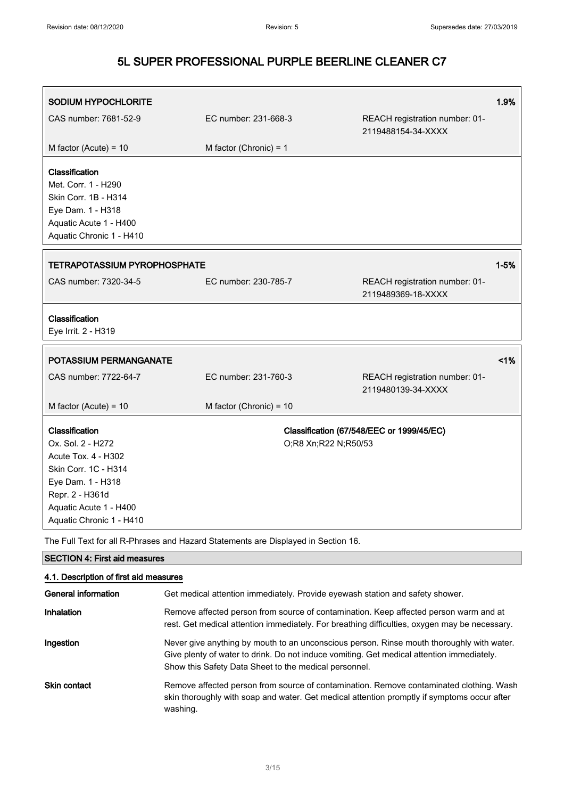| SODIUM HYPOCHLORITE                                                                                                                                                              |                           |                                                      | 1.9%     |
|----------------------------------------------------------------------------------------------------------------------------------------------------------------------------------|---------------------------|------------------------------------------------------|----------|
| CAS number: 7681-52-9                                                                                                                                                            | EC number: 231-668-3      | REACH registration number: 01-<br>2119488154-34-XXXX |          |
| M factor (Acute) = $10$                                                                                                                                                          | M factor (Chronic) = $1$  |                                                      |          |
| Classification<br>Met. Corr. 1 - H290<br>Skin Corr. 1B - H314<br>Eye Dam. 1 - H318<br>Aquatic Acute 1 - H400<br>Aquatic Chronic 1 - H410                                         |                           |                                                      |          |
| <b>TETRAPOTASSIUM PYROPHOSPHATE</b>                                                                                                                                              |                           |                                                      | $1 - 5%$ |
| CAS number: 7320-34-5                                                                                                                                                            | EC number: 230-785-7      | REACH registration number: 01-<br>2119489369-18-XXXX |          |
| Classification<br>Eye Irrit. 2 - H319                                                                                                                                            |                           |                                                      |          |
| <b>POTASSIUM PERMANGANATE</b>                                                                                                                                                    |                           |                                                      | 1%       |
| CAS number: 7722-64-7                                                                                                                                                            | EC number: 231-760-3      | REACH registration number: 01-<br>2119480139-34-XXXX |          |
| M factor (Acute) = $10$                                                                                                                                                          | M factor (Chronic) = $10$ |                                                      |          |
| Classification<br>Ox. Sol. 2 - H272<br>Acute Tox. 4 - H302<br>Skin Corr. 1C - H314<br>Eye Dam. 1 - H318<br>Repr. 2 - H361d<br>Aquatic Acute 1 - H400<br>Aquatic Chronic 1 - H410 | O;R8 Xn;R22 N;R50/53      | Classification (67/548/EEC or 1999/45/EC)            |          |

The Full Text for all R-Phrases and Hazard Statements are Displayed in Section 16.

| <b>SECTION 4: First aid measures</b>   |                                                                                                                                                                                                                                                 |  |
|----------------------------------------|-------------------------------------------------------------------------------------------------------------------------------------------------------------------------------------------------------------------------------------------------|--|
| 4.1. Description of first aid measures |                                                                                                                                                                                                                                                 |  |
| General information                    | Get medical attention immediately. Provide eyewash station and safety shower.                                                                                                                                                                   |  |
| Inhalation                             | Remove affected person from source of contamination. Keep affected person warm and at<br>rest. Get medical attention immediately. For breathing difficulties, oxygen may be necessary.                                                          |  |
| Ingestion                              | Never give anything by mouth to an unconscious person. Rinse mouth thoroughly with water.<br>Give plenty of water to drink. Do not induce vomiting. Get medical attention immediately.<br>Show this Safety Data Sheet to the medical personnel. |  |
| Skin contact                           | Remove affected person from source of contamination. Remove contaminated clothing. Wash<br>skin thoroughly with soap and water. Get medical attention promptly if symptoms occur after<br>washing.                                              |  |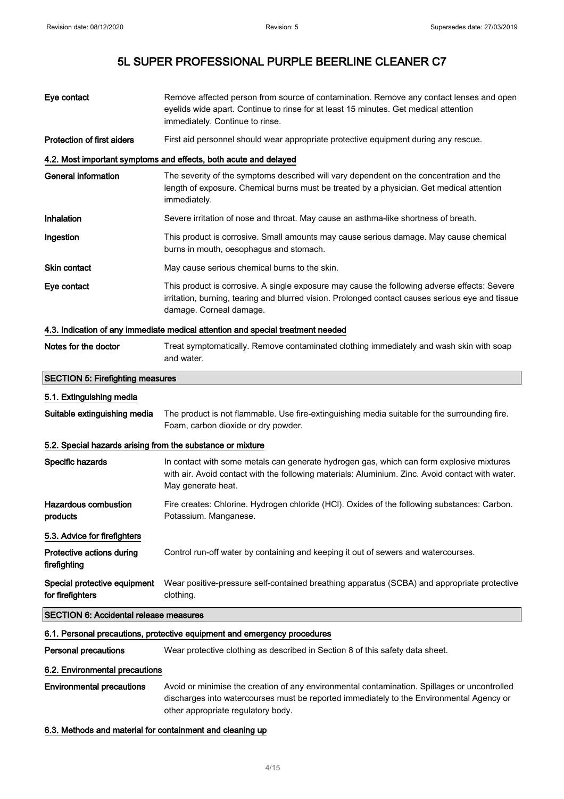| Eye contact                                                | Remove affected person from source of contamination. Remove any contact lenses and open<br>eyelids wide apart. Continue to rinse for at least 15 minutes. Get medical attention<br>immediately. Continue to rinse.          |  |
|------------------------------------------------------------|-----------------------------------------------------------------------------------------------------------------------------------------------------------------------------------------------------------------------------|--|
| <b>Protection of first aiders</b>                          | First aid personnel should wear appropriate protective equipment during any rescue.                                                                                                                                         |  |
|                                                            | 4.2. Most important symptoms and effects, both acute and delayed                                                                                                                                                            |  |
| <b>General information</b>                                 | The severity of the symptoms described will vary dependent on the concentration and the<br>length of exposure. Chemical burns must be treated by a physician. Get medical attention<br>immediately.                         |  |
| Inhalation                                                 | Severe irritation of nose and throat. May cause an asthma-like shortness of breath.                                                                                                                                         |  |
| Ingestion                                                  | This product is corrosive. Small amounts may cause serious damage. May cause chemical<br>burns in mouth, oesophagus and stomach.                                                                                            |  |
| <b>Skin contact</b>                                        | May cause serious chemical burns to the skin.                                                                                                                                                                               |  |
| Eye contact                                                | This product is corrosive. A single exposure may cause the following adverse effects: Severe<br>irritation, burning, tearing and blurred vision. Prolonged contact causes serious eye and tissue<br>damage. Corneal damage. |  |
|                                                            | 4.3. Indication of any immediate medical attention and special treatment needed                                                                                                                                             |  |
| Notes for the doctor                                       | Treat symptomatically. Remove contaminated clothing immediately and wash skin with soap<br>and water.                                                                                                                       |  |
| <b>SECTION 5: Firefighting measures</b>                    |                                                                                                                                                                                                                             |  |
| 5.1. Extinguishing media                                   |                                                                                                                                                                                                                             |  |
| Suitable extinguishing media                               | The product is not flammable. Use fire-extinguishing media suitable for the surrounding fire.<br>Foam, carbon dioxide or dry powder.                                                                                        |  |
| 5.2. Special hazards arising from the substance or mixture |                                                                                                                                                                                                                             |  |
| Specific hazards                                           | In contact with some metals can generate hydrogen gas, which can form explosive mixtures<br>with air. Avoid contact with the following materials: Aluminium. Zinc. Avoid contact with water.<br>May generate heat.          |  |
| Hazardous combustion<br>products                           | Fire creates: Chlorine. Hydrogen chloride (HCI). Oxides of the following substances: Carbon.<br>Potassium. Manganese.                                                                                                       |  |
| 5.3. Advice for firefighters                               |                                                                                                                                                                                                                             |  |
| Protective actions during<br>firefighting                  | Control run-off water by containing and keeping it out of sewers and watercourses.                                                                                                                                          |  |
| Special protective equipment<br>for firefighters           | Wear positive-pressure self-contained breathing apparatus (SCBA) and appropriate protective<br>clothing.                                                                                                                    |  |

#### SECTION 6: Accidental release measures

#### 6.1. Personal precautions, protective equipment and emergency procedures

Personal precautions Wear protective clothing as described in Section 8 of this safety data sheet.

#### 6.2. Environmental precautions

Environmental precautions Avoid or minimise the creation of any environmental contamination. Spillages or uncontrolled discharges into watercourses must be reported immediately to the Environmental Agency or other appropriate regulatory body.

#### 6.3. Methods and material for containment and cleaning up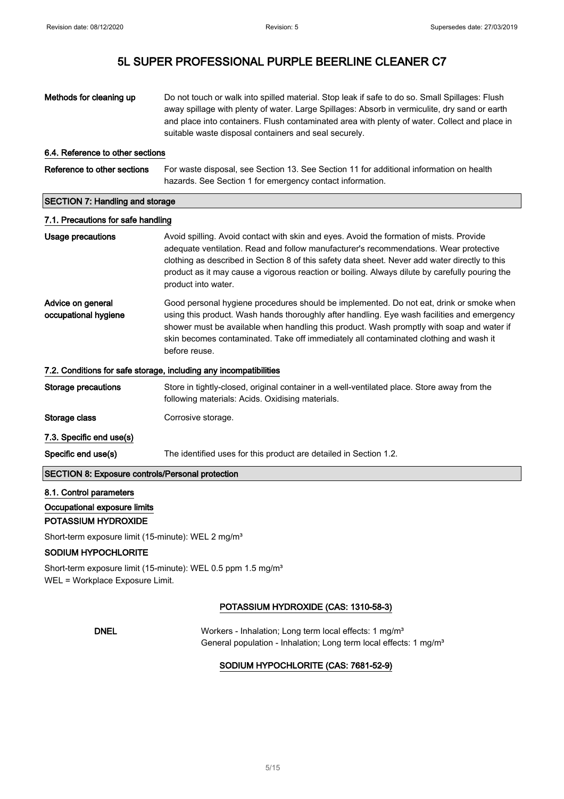| Methods for cleaning up                                                  | Do not touch or walk into spilled material. Stop leak if safe to do so. Small Spillages: Flush<br>away spillage with plenty of water. Large Spillages: Absorb in vermiculite, dry sand or earth<br>and place into containers. Flush contaminated area with plenty of water. Collect and place in<br>suitable waste disposal containers and seal securely.                                                   |  |
|--------------------------------------------------------------------------|-------------------------------------------------------------------------------------------------------------------------------------------------------------------------------------------------------------------------------------------------------------------------------------------------------------------------------------------------------------------------------------------------------------|--|
| 6.4. Reference to other sections                                         |                                                                                                                                                                                                                                                                                                                                                                                                             |  |
| Reference to other sections                                              | For waste disposal, see Section 13. See Section 11 for additional information on health<br>hazards. See Section 1 for emergency contact information.                                                                                                                                                                                                                                                        |  |
| <b>SECTION 7: Handling and storage</b>                                   |                                                                                                                                                                                                                                                                                                                                                                                                             |  |
| 7.1. Precautions for safe handling                                       |                                                                                                                                                                                                                                                                                                                                                                                                             |  |
| <b>Usage precautions</b>                                                 | Avoid spilling. Avoid contact with skin and eyes. Avoid the formation of mists. Provide<br>adequate ventilation. Read and follow manufacturer's recommendations. Wear protective<br>clothing as described in Section 8 of this safety data sheet. Never add water directly to this<br>product as it may cause a vigorous reaction or boiling. Always dilute by carefully pouring the<br>product into water. |  |
| Advice on general<br>occupational hygiene                                | Good personal hygiene procedures should be implemented. Do not eat, drink or smoke when<br>using this product. Wash hands thoroughly after handling. Eye wash facilities and emergency<br>shower must be available when handling this product. Wash promptly with soap and water if<br>skin becomes contaminated. Take off immediately all contaminated clothing and wash it<br>before reuse.               |  |
|                                                                          | 7.2. Conditions for safe storage, including any incompatibilities                                                                                                                                                                                                                                                                                                                                           |  |
| <b>Storage precautions</b>                                               | Store in tightly-closed, original container in a well-ventilated place. Store away from the<br>following materials: Acids. Oxidising materials.                                                                                                                                                                                                                                                             |  |
| Storage class                                                            | Corrosive storage.                                                                                                                                                                                                                                                                                                                                                                                          |  |
| 7.3. Specific end use(s)                                                 |                                                                                                                                                                                                                                                                                                                                                                                                             |  |
| Specific end use(s)                                                      | The identified uses for this product are detailed in Section 1.2.                                                                                                                                                                                                                                                                                                                                           |  |
| <b>SECTION 8: Exposure controls/Personal protection</b>                  |                                                                                                                                                                                                                                                                                                                                                                                                             |  |
| 8.1. Control parameters                                                  |                                                                                                                                                                                                                                                                                                                                                                                                             |  |
| Occupational exposure limits                                             |                                                                                                                                                                                                                                                                                                                                                                                                             |  |
| POTASSIUM HYDROXIDE                                                      |                                                                                                                                                                                                                                                                                                                                                                                                             |  |
| Short-term exposure limit (15-minute): WEL 2 mg/m <sup>3</sup>           |                                                                                                                                                                                                                                                                                                                                                                                                             |  |
| <b>SODIUM HYPOCHLORITE</b>                                               |                                                                                                                                                                                                                                                                                                                                                                                                             |  |
| Short-term exposure limit (15-minute): WEL 0.5 ppm 1.5 mg/m <sup>3</sup> |                                                                                                                                                                                                                                                                                                                                                                                                             |  |

WEL = Workplace Exposure Limit.

### POTASSIUM HYDROXIDE (CAS: 1310-58-3)

DNEL Workers - Inhalation; Long term local effects: 1 mg/m<sup>3</sup> General population - Inhalation; Long term local effects: 1 mg/m<sup>3</sup>

#### SODIUM HYPOCHLORITE (CAS: 7681-52-9)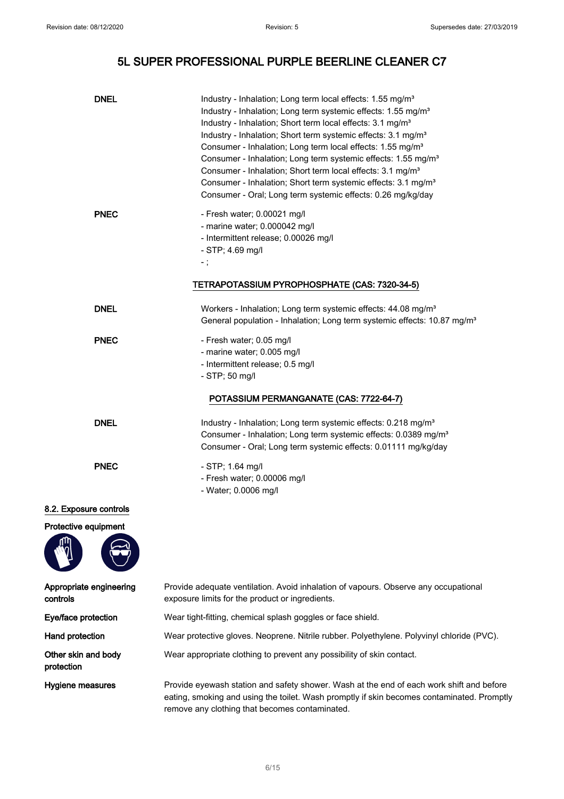| <b>DNEL</b>                         | Industry - Inhalation; Long term local effects: 1.55 mg/m <sup>3</sup><br>Industry - Inhalation; Long term systemic effects: 1.55 mg/m <sup>3</sup><br>Industry - Inhalation; Short term local effects: 3.1 mg/m <sup>3</sup><br>Industry - Inhalation; Short term systemic effects: 3.1 mg/m <sup>3</sup><br>Consumer - Inhalation; Long term local effects: 1.55 mg/m <sup>3</sup><br>Consumer - Inhalation; Long term systemic effects: 1.55 mg/m <sup>3</sup><br>Consumer - Inhalation; Short term local effects: 3.1 mg/m <sup>3</sup><br>Consumer - Inhalation; Short term systemic effects: 3.1 mg/m <sup>3</sup><br>Consumer - Oral; Long term systemic effects: 0.26 mg/kg/day |
|-------------------------------------|-----------------------------------------------------------------------------------------------------------------------------------------------------------------------------------------------------------------------------------------------------------------------------------------------------------------------------------------------------------------------------------------------------------------------------------------------------------------------------------------------------------------------------------------------------------------------------------------------------------------------------------------------------------------------------------------|
| <b>PNEC</b>                         | - Fresh water; 0.00021 mg/l<br>- marine water; 0.000042 mg/l<br>- Intermittent release; 0.00026 mg/l<br>$-$ STP; 4.69 mg/l<br>$-$ ;                                                                                                                                                                                                                                                                                                                                                                                                                                                                                                                                                     |
|                                     | TETRAPOTASSIUM PYROPHOSPHATE (CAS: 7320-34-5)                                                                                                                                                                                                                                                                                                                                                                                                                                                                                                                                                                                                                                           |
| <b>DNEL</b>                         | Workers - Inhalation; Long term systemic effects: 44.08 mg/m <sup>3</sup><br>General population - Inhalation; Long term systemic effects: 10.87 mg/m <sup>3</sup>                                                                                                                                                                                                                                                                                                                                                                                                                                                                                                                       |
| <b>PNEC</b>                         | - Fresh water; 0.05 mg/l<br>- marine water; 0.005 mg/l<br>- Intermittent release; 0.5 mg/l<br>$-$ STP; 50 mg/l                                                                                                                                                                                                                                                                                                                                                                                                                                                                                                                                                                          |
|                                     | POTASSIUM PERMANGANATE (CAS: 7722-64-7)                                                                                                                                                                                                                                                                                                                                                                                                                                                                                                                                                                                                                                                 |
| <b>DNEL</b>                         | Industry - Inhalation; Long term systemic effects: 0.218 mg/m <sup>3</sup><br>Consumer - Inhalation; Long term systemic effects: 0.0389 mg/m <sup>3</sup><br>Consumer - Oral; Long term systemic effects: 0.01111 mg/kg/day                                                                                                                                                                                                                                                                                                                                                                                                                                                             |
| <b>PNEC</b>                         | $-$ STP; 1.64 mg/l<br>- Fresh water; 0.00006 mg/l<br>- Water; 0.0006 mg/l                                                                                                                                                                                                                                                                                                                                                                                                                                                                                                                                                                                                               |
| 8.2. Exposure controls              |                                                                                                                                                                                                                                                                                                                                                                                                                                                                                                                                                                                                                                                                                         |
| Protective equipment                |                                                                                                                                                                                                                                                                                                                                                                                                                                                                                                                                                                                                                                                                                         |
| Appropriate engineering<br>controls | Provide adequate ventilation. Avoid inhalation of vapours. Observe any occupational<br>exposure limits for the product or ingredients.                                                                                                                                                                                                                                                                                                                                                                                                                                                                                                                                                  |
| Eye/face protection                 | Wear tight-fitting, chemical splash goggles or face shield.                                                                                                                                                                                                                                                                                                                                                                                                                                                                                                                                                                                                                             |
| Hand protection                     | Wear protective gloves. Neoprene. Nitrile rubber. Polyethylene. Polyvinyl chloride (PVC).                                                                                                                                                                                                                                                                                                                                                                                                                                                                                                                                                                                               |
| Other skin and body<br>protection   | Wear appropriate clothing to prevent any possibility of skin contact.                                                                                                                                                                                                                                                                                                                                                                                                                                                                                                                                                                                                                   |
| Hygiene measures                    | Provide eyewash station and safety shower. Wash at the end of each work shift and before<br>eating, smoking and using the toilet. Wash promptly if skin becomes contaminated. Promptly<br>remove any clothing that becomes contaminated.                                                                                                                                                                                                                                                                                                                                                                                                                                                |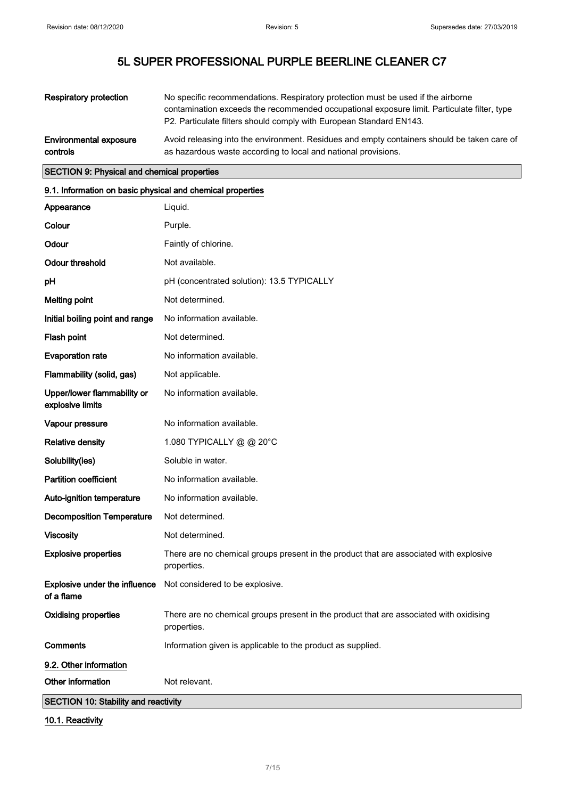| <b>Respiratory protection</b> | No specific recommendations. Respiratory protection must be used if the airborne<br>contamination exceeds the recommended occupational exposure limit. Particulate filter, type<br>P2. Particulate filters should comply with European Standard EN143. |
|-------------------------------|--------------------------------------------------------------------------------------------------------------------------------------------------------------------------------------------------------------------------------------------------------|
| <b>Environmental exposure</b> | Avoid releasing into the environment. Residues and empty containers should be taken care of                                                                                                                                                            |
| controls                      | as hazardous waste according to local and national provisions.                                                                                                                                                                                         |

#### SECTION 9: Physical and chemical properties

### 9.1. Information on basic physical and chemical properties

| Appearance                                      | Liquid.                                                                                               |  |
|-------------------------------------------------|-------------------------------------------------------------------------------------------------------|--|
| Colour                                          | Purple.                                                                                               |  |
| Odour                                           | Faintly of chlorine.                                                                                  |  |
| <b>Odour threshold</b>                          | Not available.                                                                                        |  |
| pH                                              | pH (concentrated solution): 13.5 TYPICALLY                                                            |  |
| <b>Melting point</b>                            | Not determined.                                                                                       |  |
| Initial boiling point and range                 | No information available.                                                                             |  |
| Flash point                                     | Not determined.                                                                                       |  |
| <b>Evaporation rate</b>                         | No information available.                                                                             |  |
| Flammability (solid, gas)                       | Not applicable.                                                                                       |  |
| Upper/lower flammability or<br>explosive limits | No information available.                                                                             |  |
| Vapour pressure                                 | No information available.                                                                             |  |
| <b>Relative density</b>                         | 1.080 TYPICALLY @ @ 20°C                                                                              |  |
| Solubility(ies)                                 | Soluble in water.                                                                                     |  |
| <b>Partition coefficient</b>                    | No information available.                                                                             |  |
| Auto-ignition temperature                       | No information available.                                                                             |  |
| <b>Decomposition Temperature</b>                | Not determined.                                                                                       |  |
| <b>Viscosity</b>                                | Not determined.                                                                                       |  |
| <b>Explosive properties</b>                     | There are no chemical groups present in the product that are associated with explosive<br>properties. |  |
| Explosive under the influence<br>of a flame     | Not considered to be explosive.                                                                       |  |
| <b>Oxidising properties</b>                     | There are no chemical groups present in the product that are associated with oxidising<br>properties. |  |
| <b>Comments</b>                                 | Information given is applicable to the product as supplied.                                           |  |
| 9.2. Other information                          |                                                                                                       |  |
| Other information                               | Not relevant.                                                                                         |  |
| <b>SECTION 10: Stability and reactivity</b>     |                                                                                                       |  |

10.1. Reactivity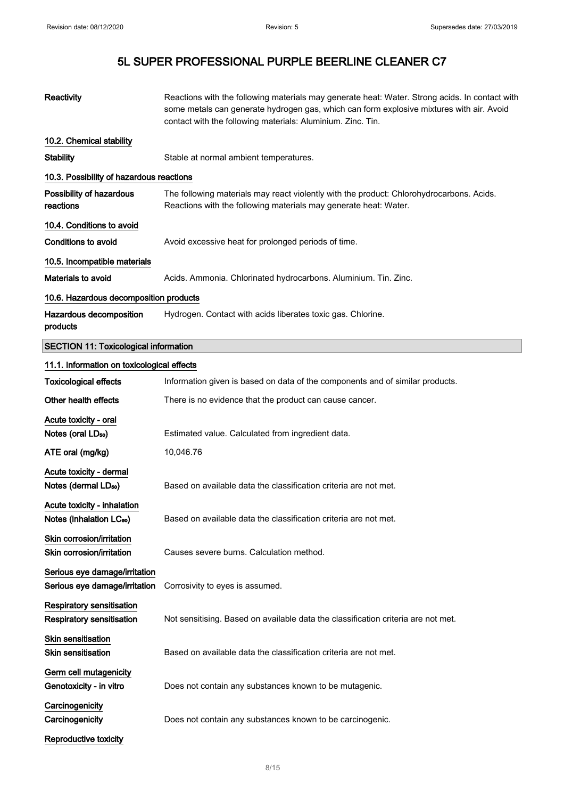| Reactivity                                                           | Reactions with the following materials may generate heat: Water. Strong acids. In contact with<br>some metals can generate hydrogen gas, which can form explosive mixtures with air. Avoid<br>contact with the following materials: Aluminium. Zinc. Tin. |
|----------------------------------------------------------------------|-----------------------------------------------------------------------------------------------------------------------------------------------------------------------------------------------------------------------------------------------------------|
| 10.2. Chemical stability                                             |                                                                                                                                                                                                                                                           |
| <b>Stability</b>                                                     | Stable at normal ambient temperatures.                                                                                                                                                                                                                    |
| 10.3. Possibility of hazardous reactions                             |                                                                                                                                                                                                                                                           |
| Possibility of hazardous<br>reactions                                | The following materials may react violently with the product: Chlorohydrocarbons. Acids.<br>Reactions with the following materials may generate heat: Water.                                                                                              |
| 10.4. Conditions to avoid                                            |                                                                                                                                                                                                                                                           |
| <b>Conditions to avoid</b>                                           | Avoid excessive heat for prolonged periods of time.                                                                                                                                                                                                       |
| 10.5. Incompatible materials                                         |                                                                                                                                                                                                                                                           |
| Materials to avoid                                                   | Acids. Ammonia. Chlorinated hydrocarbons. Aluminium. Tin. Zinc.                                                                                                                                                                                           |
| 10.6. Hazardous decomposition products                               |                                                                                                                                                                                                                                                           |
| Hazardous decomposition<br>products                                  | Hydrogen. Contact with acids liberates toxic gas. Chlorine.                                                                                                                                                                                               |
| <b>SECTION 11: Toxicological information</b>                         |                                                                                                                                                                                                                                                           |
| 11.1. Information on toxicological effects                           |                                                                                                                                                                                                                                                           |
| <b>Toxicological effects</b>                                         | Information given is based on data of the components and of similar products.                                                                                                                                                                             |
| Other health effects                                                 | There is no evidence that the product can cause cancer.                                                                                                                                                                                                   |
| Acute toxicity - oral<br>Notes (oral LD <sub>50</sub> )              | Estimated value. Calculated from ingredient data.                                                                                                                                                                                                         |
| ATE oral (mg/kg)                                                     | 10,046.76                                                                                                                                                                                                                                                 |
| Acute toxicity - dermal<br>Notes (dermal LD <sub>50</sub> )          | Based on available data the classification criteria are not met.                                                                                                                                                                                          |
| Acute toxicity - inhalation<br>Notes (inhalation LC <sub>50</sub> )  | Based on available data the classification criteria are not met.                                                                                                                                                                                          |
| Skin corrosion/irritation<br>Skin corrosion/irritation               | Causes severe burns. Calculation method.                                                                                                                                                                                                                  |
| Serious eye damage/irritation<br>Serious eye damage/irritation       | Corrosivity to eyes is assumed.                                                                                                                                                                                                                           |
| <b>Respiratory sensitisation</b><br><b>Respiratory sensitisation</b> | Not sensitising. Based on available data the classification criteria are not met.                                                                                                                                                                         |
| <b>Skin sensitisation</b>                                            |                                                                                                                                                                                                                                                           |
| <b>Skin sensitisation</b>                                            | Based on available data the classification criteria are not met.                                                                                                                                                                                          |
| Germ cell mutagenicity<br>Genotoxicity - in vitro                    | Does not contain any substances known to be mutagenic.                                                                                                                                                                                                    |
| Carcinogenicity                                                      |                                                                                                                                                                                                                                                           |
| Carcinogenicity                                                      | Does not contain any substances known to be carcinogenic.                                                                                                                                                                                                 |
| <b>Reproductive toxicity</b>                                         |                                                                                                                                                                                                                                                           |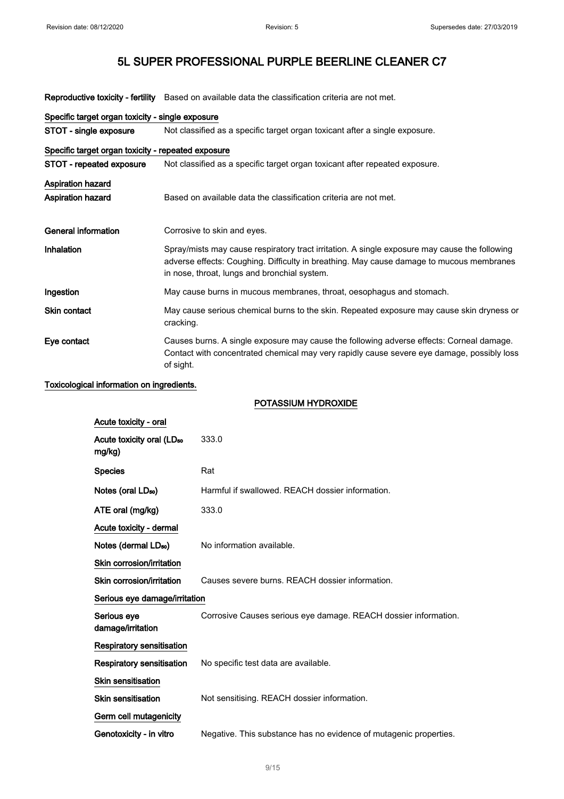Reproductive toxicity - fertility Based on available data the classification criteria are not met.

| Specific target organ toxicity - single exposure   |                                                                                                                                                                                                                                           |  |
|----------------------------------------------------|-------------------------------------------------------------------------------------------------------------------------------------------------------------------------------------------------------------------------------------------|--|
| STOT - single exposure                             | Not classified as a specific target organ toxicant after a single exposure.                                                                                                                                                               |  |
| Specific target organ toxicity - repeated exposure |                                                                                                                                                                                                                                           |  |
| STOT - repeated exposure                           | Not classified as a specific target organ toxicant after repeated exposure.                                                                                                                                                               |  |
| <b>Aspiration hazard</b>                           |                                                                                                                                                                                                                                           |  |
| <b>Aspiration hazard</b>                           | Based on available data the classification criteria are not met.                                                                                                                                                                          |  |
| General information                                | Corrosive to skin and eyes.                                                                                                                                                                                                               |  |
| Inhalation                                         | Spray/mists may cause respiratory tract irritation. A single exposure may cause the following<br>adverse effects: Coughing. Difficulty in breathing. May cause damage to mucous membranes<br>in nose, throat, lungs and bronchial system. |  |
| Ingestion                                          | May cause burns in mucous membranes, throat, oesophagus and stomach.                                                                                                                                                                      |  |
| Skin contact                                       | May cause serious chemical burns to the skin. Repeated exposure may cause skin dryness or<br>cracking.                                                                                                                                    |  |
| Eye contact                                        | Causes burns. A single exposure may cause the following adverse effects: Corneal damage.<br>Contact with concentrated chemical may very rapidly cause severe eye damage, possibly loss<br>of sight.                                       |  |

#### Toxicological information on ingredients.

#### POTASSIUM HYDROXIDE

| Acute toxicity - oral                           |                                                                   |
|-------------------------------------------------|-------------------------------------------------------------------|
| Acute toxicity oral (LD <sub>50</sub><br>mg/kg) | 333.0                                                             |
| <b>Species</b>                                  | Rat                                                               |
| Notes (oral LD <sub>50</sub> )                  | Harmful if swallowed. REACH dossier information.                  |
| ATE oral (mg/kg)                                | 333.0                                                             |
| Acute toxicity - dermal                         |                                                                   |
| Notes (dermal LD <sub>50</sub> )                | No information available.                                         |
| Skin corrosion/irritation                       |                                                                   |
| Skin corrosion/irritation                       | Causes severe burns. REACH dossier information.                   |
| Serious eye damage/irritation                   |                                                                   |
| Serious eye<br>damage/irritation                | Corrosive Causes serious eye damage. REACH dossier information.   |
| <b>Respiratory sensitisation</b>                |                                                                   |
| <b>Respiratory sensitisation</b>                | No specific test data are available.                              |
| <b>Skin sensitisation</b>                       |                                                                   |
| <b>Skin sensitisation</b>                       | Not sensitising. REACH dossier information.                       |
| Germ cell mutagenicity                          |                                                                   |
| Genotoxicity - in vitro                         | Negative. This substance has no evidence of mutagenic properties. |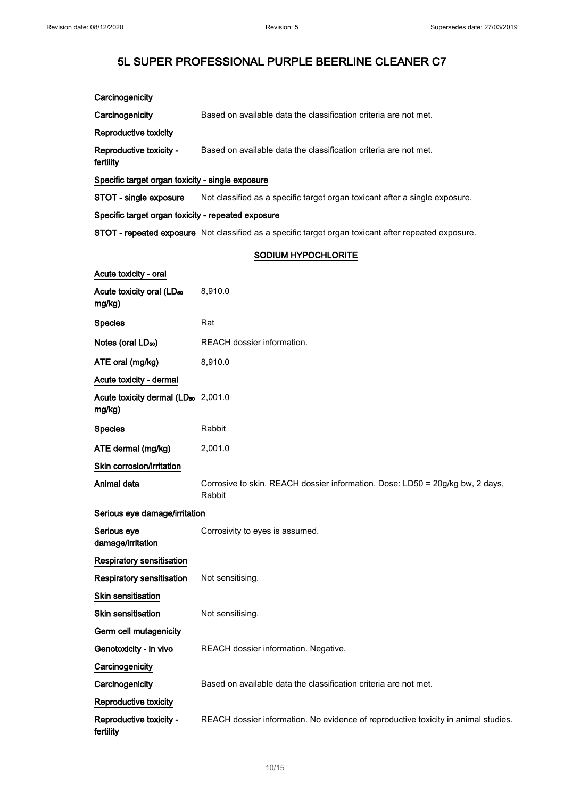| Carcinogenicity                                           |                                                                                                      |  |  |
|-----------------------------------------------------------|------------------------------------------------------------------------------------------------------|--|--|
| Carcinogenicity                                           | Based on available data the classification criteria are not met.                                     |  |  |
| Reproductive toxicity                                     |                                                                                                      |  |  |
| Reproductive toxicity -<br>fertility                      | Based on available data the classification criteria are not met.                                     |  |  |
| Specific target organ toxicity - single exposure          |                                                                                                      |  |  |
| STOT - single exposure                                    | Not classified as a specific target organ toxicant after a single exposure.                          |  |  |
| Specific target organ toxicity - repeated exposure        |                                                                                                      |  |  |
|                                                           | STOT - repeated exposure Not classified as a specific target organ toxicant after repeated exposure. |  |  |
|                                                           | SODIUM HYPOCHLORITE                                                                                  |  |  |
| Acute toxicity - oral                                     |                                                                                                      |  |  |
| Acute toxicity oral (LD <sub>50</sub><br>mg/kg)           | 8,910.0                                                                                              |  |  |
| <b>Species</b>                                            | Rat                                                                                                  |  |  |
| Notes (oral LD <sub>50</sub> )                            | REACH dossier information.                                                                           |  |  |
| ATE oral (mg/kg)                                          | 8,910.0                                                                                              |  |  |
| Acute toxicity - dermal                                   |                                                                                                      |  |  |
| Acute toxicity dermal (LD <sub>50</sub> 2,001.0<br>mg/kg) |                                                                                                      |  |  |
| <b>Species</b>                                            | Rabbit                                                                                               |  |  |
| ATE dermal (mg/kg)                                        | 2,001.0                                                                                              |  |  |
| Skin corrosion/irritation                                 |                                                                                                      |  |  |
| Animal data                                               | Corrosive to skin. REACH dossier information. Dose: LD50 = 20g/kg bw, 2 days,<br>Rabbit              |  |  |
| Serious eye damage/irritation                             |                                                                                                      |  |  |
| Serious eye<br>damage/irritation                          | Corrosivity to eyes is assumed.                                                                      |  |  |
| <b>Respiratory sensitisation</b>                          |                                                                                                      |  |  |
| Respiratory sensitisation                                 | Not sensitising.                                                                                     |  |  |
| <b>Skin sensitisation</b>                                 |                                                                                                      |  |  |
| <b>Skin sensitisation</b>                                 | Not sensitising.                                                                                     |  |  |
| Germ cell mutagenicity                                    |                                                                                                      |  |  |
| Genotoxicity - in vivo                                    | REACH dossier information. Negative.                                                                 |  |  |
| Carcinogenicity                                           |                                                                                                      |  |  |
| Carcinogenicity                                           | Based on available data the classification criteria are not met.                                     |  |  |
| Reproductive toxicity                                     |                                                                                                      |  |  |
| Reproductive toxicity -<br>fertility                      | REACH dossier information. No evidence of reproductive toxicity in animal studies.                   |  |  |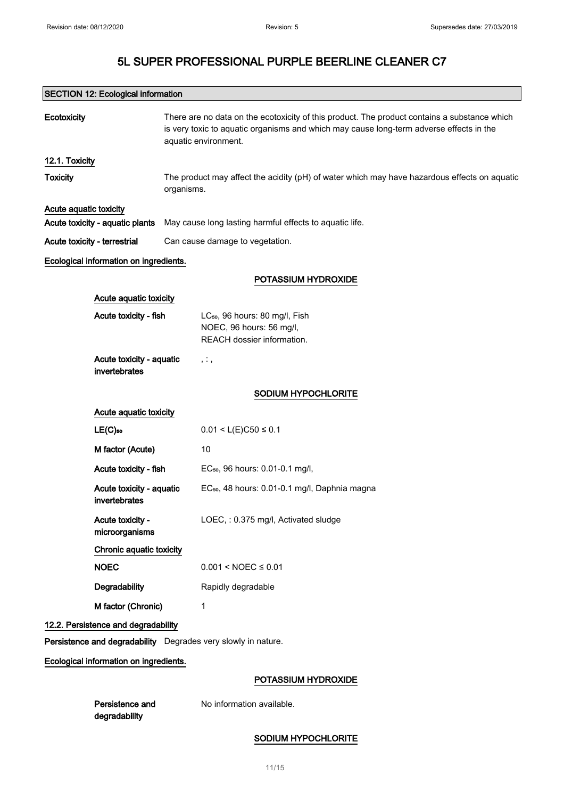| <b>SECTION 12: Ecological information</b> |                                                                                                                                                                                                                 |  |
|-------------------------------------------|-----------------------------------------------------------------------------------------------------------------------------------------------------------------------------------------------------------------|--|
| Ecotoxicity                               | There are no data on the ecotoxicity of this product. The product contains a substance which<br>is very toxic to aquatic organisms and which may cause long-term adverse effects in the<br>aquatic environment. |  |
| 12.1. Toxicity                            |                                                                                                                                                                                                                 |  |
| <b>Toxicity</b>                           | The product may affect the acidity (pH) of water which may have hazardous effects on aquatic<br>organisms.                                                                                                      |  |
| Acute aquatic toxicity                    |                                                                                                                                                                                                                 |  |
| Acute toxicity - aquatic plants           | May cause long lasting harmful effects to aquatic life.                                                                                                                                                         |  |
| Acute toxicity - terrestrial              | Can cause damage to vegetation.                                                                                                                                                                                 |  |
| Ecological information on ingredients.    |                                                                                                                                                                                                                 |  |
|                                           | POTASSIUM HYDROXIDE                                                                                                                                                                                             |  |
| Acute aquatic toxicity                    |                                                                                                                                                                                                                 |  |
| Acute toxicity - fish                     | LC <sub>50</sub> , 96 hours: 80 mg/l, Fish<br>NOEC, 96 hours: 56 mg/l,<br>REACH dossier information.                                                                                                            |  |
| Acute toxicity - aquatic<br>invertebrates | , . ,                                                                                                                                                                                                           |  |
|                                           | <b>SODIUM HYPOCHLORITE</b>                                                                                                                                                                                      |  |
| Acute aquatic toxicity                    |                                                                                                                                                                                                                 |  |
| $LE(C)$ 50                                | $0.01 < L(E)C50 \le 0.1$                                                                                                                                                                                        |  |
| M factor (Acute)                          | 10                                                                                                                                                                                                              |  |
| Acute toxicity - fish                     | EC <sub>50</sub> , 96 hours: 0.01-0.1 mg/l,                                                                                                                                                                     |  |
| Acute toxicity - aquatic<br>invertebrates | EC <sub>50</sub> , 48 hours: 0.01-0.1 mg/l, Daphnia magna                                                                                                                                                       |  |
| Acute toxicity -<br>microorganisms        | LOEC, : 0.375 mg/l, Activated sludge                                                                                                                                                                            |  |
| Chronic aquatic toxicity                  |                                                                                                                                                                                                                 |  |
| <b>NOEC</b>                               | $0.001 < NOEC \le 0.01$                                                                                                                                                                                         |  |
| Degradability                             | Rapidly degradable                                                                                                                                                                                              |  |
| M factor (Chronic)                        | 1                                                                                                                                                                                                               |  |
| 12.2. Persistence and degradability       |                                                                                                                                                                                                                 |  |
|                                           | Persistence and degradability Degrades very slowly in nature.                                                                                                                                                   |  |
| Ecological information on ingredients.    |                                                                                                                                                                                                                 |  |
|                                           | POTASSIUM HYDROXIDE                                                                                                                                                                                             |  |
| Persistence and                           | No information available.                                                                                                                                                                                       |  |

### SODIUM HYPOCHLORITE

degradability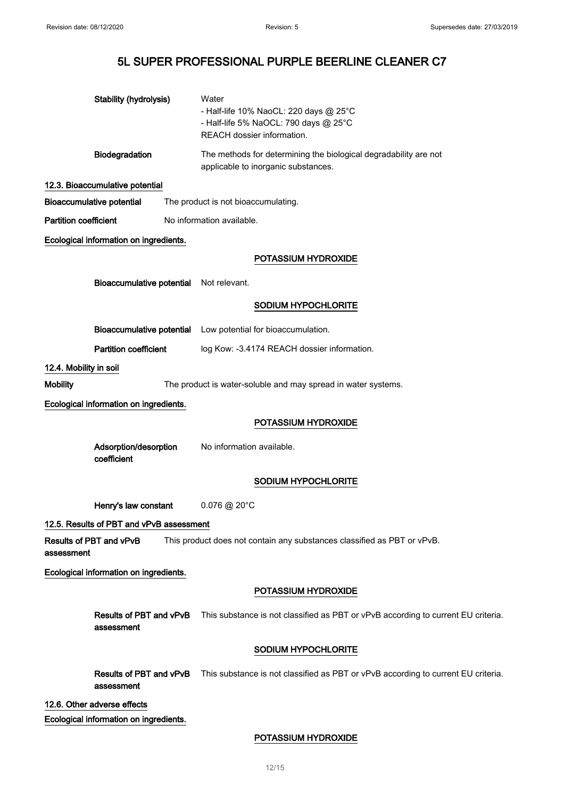|                              | Stability (hydrolysis)                   | Water<br>- Half-life 10% NaoCL: 220 days @ 25°C<br>- Half-life 5% NaOCL: 790 days @ 25°C<br>REACH dossier information. |
|------------------------------|------------------------------------------|------------------------------------------------------------------------------------------------------------------------|
|                              | Biodegradation                           | The methods for determining the biological degradability are not<br>applicable to inorganic substances.                |
|                              | 12.3. Bioaccumulative potential          |                                                                                                                        |
|                              | <b>Bioaccumulative potential</b>         | The product is not bioaccumulating.                                                                                    |
| <b>Partition coefficient</b> |                                          | No information available.                                                                                              |
|                              | Ecological information on ingredients.   |                                                                                                                        |
|                              |                                          | POTASSIUM HYDROXIDE                                                                                                    |
|                              | <b>Bioaccumulative potential</b>         | Not relevant.                                                                                                          |
|                              |                                          | SODIUM HYPOCHLORITE                                                                                                    |
|                              | <b>Bioaccumulative potential</b>         | Low potential for bioaccumulation.                                                                                     |
|                              | <b>Partition coefficient</b>             | log Kow: -3.4174 REACH dossier information.                                                                            |
| 12.4. Mobility in soil       |                                          |                                                                                                                        |
| <b>Mobility</b>              |                                          | The product is water-soluble and may spread in water systems.                                                          |
|                              | Ecological information on ingredients.   |                                                                                                                        |
|                              |                                          | POTASSIUM HYDROXIDE                                                                                                    |
|                              | Adsorption/desorption<br>coefficient     | No information available.                                                                                              |
|                              |                                          | SODIUM HYPOCHLORITE                                                                                                    |
|                              | Henry's law constant                     | $0.076 \circledR 20^{\circ}$ C                                                                                         |
|                              | 12.5. Results of PBT and vPvB assessment |                                                                                                                        |
| assessment                   | Results of PBT and vPvB                  | This product does not contain any substances classified as PBT or vPvB.                                                |
|                              | Ecological information on ingredients.   |                                                                                                                        |
|                              |                                          | POTASSIUM HYDROXIDE                                                                                                    |
|                              | Results of PBT and vPvB<br>assessment    | This substance is not classified as PBT or vPvB according to current EU criteria.                                      |
|                              |                                          | SODIUM HYPOCHLORITE                                                                                                    |
|                              | assessment                               | Results of PBT and vPvB This substance is not classified as PBT or vPvB according to current EU criteria.              |
|                              | 12.6. Other adverse effects              |                                                                                                                        |
|                              | Ecological information on ingredients.   |                                                                                                                        |

### POTASSIUM HYDROXIDE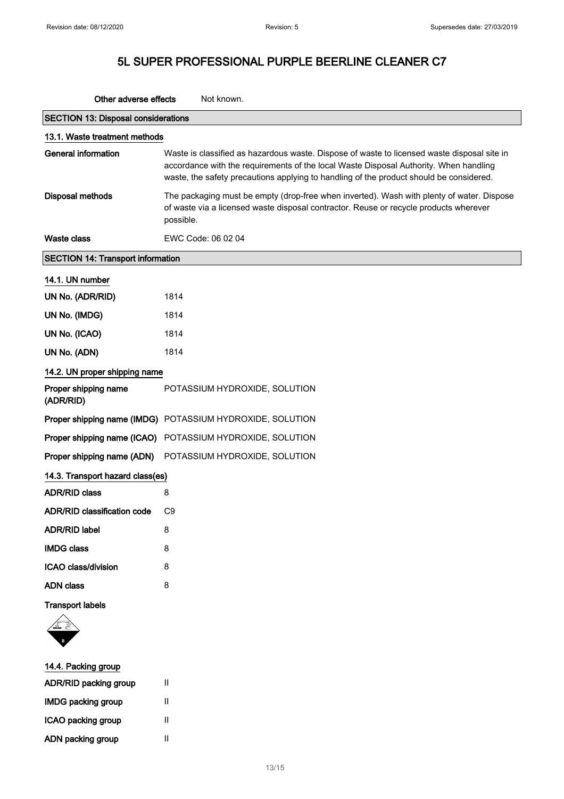| Other adverse effects<br>Not known.        |                                                                                                                                                                                                                                                                                 |  |
|--------------------------------------------|---------------------------------------------------------------------------------------------------------------------------------------------------------------------------------------------------------------------------------------------------------------------------------|--|
| <b>SECTION 13: Disposal considerations</b> |                                                                                                                                                                                                                                                                                 |  |
| 13.1. Waste treatment methods              |                                                                                                                                                                                                                                                                                 |  |
| <b>General information</b>                 | Waste is classified as hazardous waste. Dispose of waste to licensed waste disposal site in<br>accordance with the requirements of the local Waste Disposal Authority. When handling<br>waste, the safety precautions applying to handling of the product should be considered. |  |
| <b>Disposal methods</b>                    | The packaging must be empty (drop-free when inverted). Wash with plenty of water. Dispose<br>of waste via a licensed waste disposal contractor. Reuse or recycle products wherever<br>possible.                                                                                 |  |
| Waste class                                | EWC Code: 06 02 04                                                                                                                                                                                                                                                              |  |
| <b>SECTION 14: Transport information</b>   |                                                                                                                                                                                                                                                                                 |  |
| 14.1. UN number                            |                                                                                                                                                                                                                                                                                 |  |
| UN No. (ADR/RID)                           | 1814                                                                                                                                                                                                                                                                            |  |
| UN No. (IMDG)                              | 1814                                                                                                                                                                                                                                                                            |  |
| UN No. (ICAO)                              | 1814                                                                                                                                                                                                                                                                            |  |
| UN No. (ADN)                               | 1814                                                                                                                                                                                                                                                                            |  |
| 14.2. UN proper shipping name              |                                                                                                                                                                                                                                                                                 |  |
| Proper shipping name<br>(ADR/RID)          | POTASSIUM HYDROXIDE, SOLUTION                                                                                                                                                                                                                                                   |  |
|                                            | Proper shipping name (IMDG) POTASSIUM HYDROXIDE, SOLUTION                                                                                                                                                                                                                       |  |
| Proper shipping name (ICAO)                | POTASSIUM HYDROXIDE, SOLUTION                                                                                                                                                                                                                                                   |  |
| Proper shipping name (ADN)                 | POTASSIUM HYDROXIDE, SOLUTION                                                                                                                                                                                                                                                   |  |
| 14.3. Transport hazard class(es)           |                                                                                                                                                                                                                                                                                 |  |
| <b>ADR/RID class</b>                       | 8                                                                                                                                                                                                                                                                               |  |
| <b>ADR/RID classification code</b>         | C <sub>9</sub>                                                                                                                                                                                                                                                                  |  |
| <b>ADR/RID label</b>                       | 8                                                                                                                                                                                                                                                                               |  |
| <b>IMDG class</b>                          | 8                                                                                                                                                                                                                                                                               |  |
| ICAO class/division                        | 8                                                                                                                                                                                                                                                                               |  |
| <b>ADN</b> class                           | 8                                                                                                                                                                                                                                                                               |  |
| <b>Transport labels</b>                    |                                                                                                                                                                                                                                                                                 |  |
| 14.4. Packing group                        |                                                                                                                                                                                                                                                                                 |  |
| ADR/RID packing group                      | Ш                                                                                                                                                                                                                                                                               |  |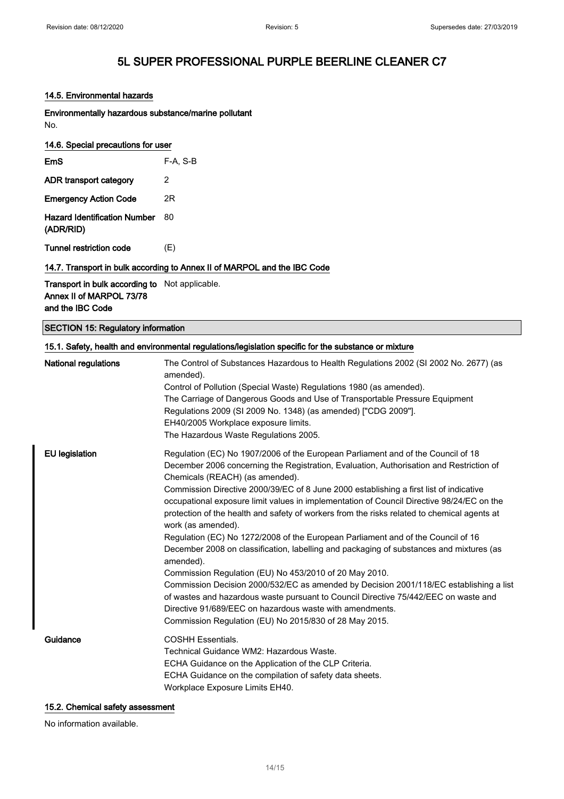#### 14.5. Environmental hazards

Environmentally hazardous substance/marine pollutant No.

### 14.6. Special precautions for user

| $E$ m $S$                                        | $F-A. S-B$ |
|--------------------------------------------------|------------|
| ADR transport category                           | 2          |
| <b>Emergency Action Code</b>                     | 2R         |
| <b>Hazard Identification Number</b><br>(ADR/RID) | 80         |
| Tunnel restriction code                          | (E)        |

#### 14.7. Transport in bulk according to Annex II of MARPOL and the IBC Code

Transport in bulk according to Not applicable. Annex II of MARPOL 73/78 and the IBC Code

### SECTION 15: Regulatory information

| National regulations  | The Control of Substances Hazardous to Health Regulations 2002 (SI 2002 No. 2677) (as                                                                                         |
|-----------------------|-------------------------------------------------------------------------------------------------------------------------------------------------------------------------------|
|                       | amended).                                                                                                                                                                     |
|                       | Control of Pollution (Special Waste) Regulations 1980 (as amended).                                                                                                           |
|                       | The Carriage of Dangerous Goods and Use of Transportable Pressure Equipment                                                                                                   |
|                       | Regulations 2009 (SI 2009 No. 1348) (as amended) ["CDG 2009"].                                                                                                                |
|                       | EH40/2005 Workplace exposure limits.                                                                                                                                          |
|                       | The Hazardous Waste Regulations 2005.                                                                                                                                         |
| <b>EU</b> legislation | Regulation (EC) No 1907/2006 of the European Parliament and of the Council of 18                                                                                              |
|                       | December 2006 concerning the Registration, Evaluation, Authorisation and Restriction of<br>Chemicals (REACH) (as amended).                                                    |
|                       | Commission Directive 2000/39/EC of 8 June 2000 establishing a first list of indicative                                                                                        |
|                       | occupational exposure limit values in implementation of Council Directive 98/24/EC on the                                                                                     |
|                       | protection of the health and safety of workers from the risks related to chemical agents at<br>work (as amended).                                                             |
|                       | Regulation (EC) No 1272/2008 of the European Parliament and of the Council of 16                                                                                              |
|                       | December 2008 on classification, labelling and packaging of substances and mixtures (as<br>amended).                                                                          |
|                       | Commission Regulation (EU) No 453/2010 of 20 May 2010.                                                                                                                        |
|                       | Commission Decision 2000/532/EC as amended by Decision 2001/118/EC establishing a list<br>of wastes and hazardous waste pursuant to Council Directive 75/442/EEC on waste and |
|                       | Directive 91/689/EEC on hazardous waste with amendments.                                                                                                                      |
|                       | Commission Regulation (EU) No 2015/830 of 28 May 2015.                                                                                                                        |
| Guidance              | <b>COSHH Essentials.</b>                                                                                                                                                      |
|                       | Technical Guidance WM2: Hazardous Waste.                                                                                                                                      |
|                       | ECHA Guidance on the Application of the CLP Criteria.                                                                                                                         |
|                       | ECHA Guidance on the compilation of safety data sheets.                                                                                                                       |
|                       | Workplace Exposure Limits EH40.                                                                                                                                               |

#### 15.2. Chemical safety assessment

No information available.